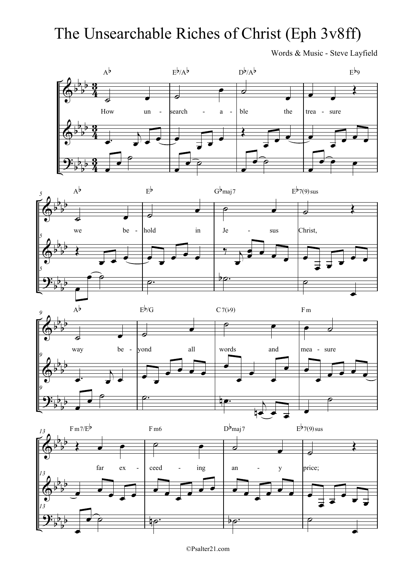## The Unsearchable Riches of Christ (Eph 3v8ff)

Words & Music - Steve Layfield